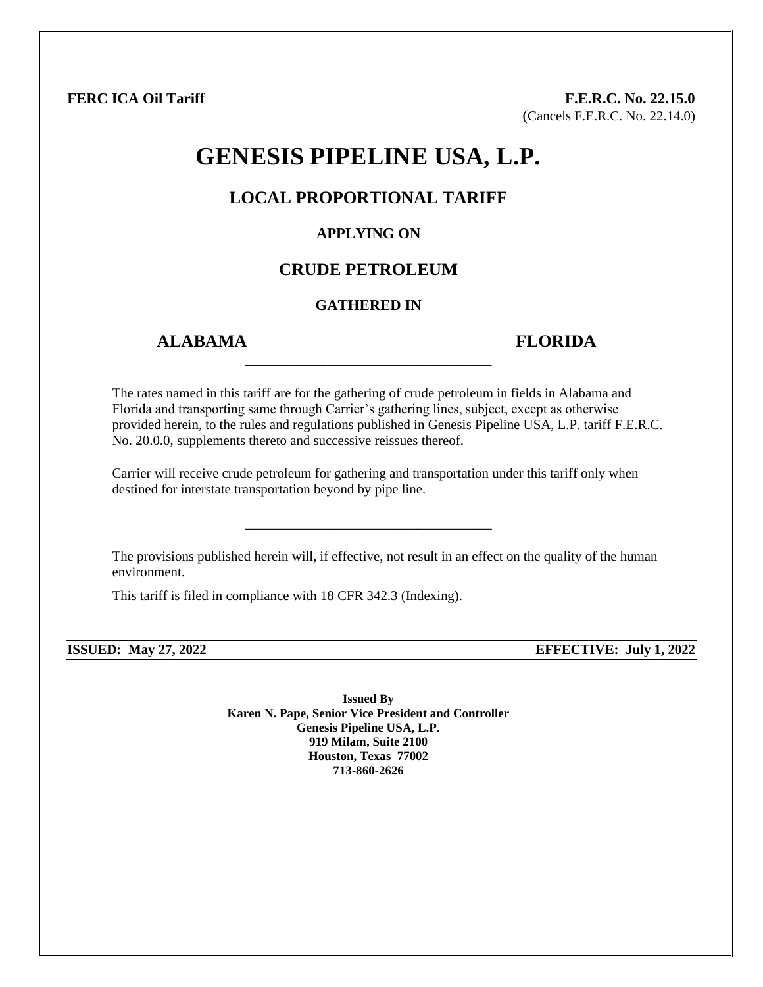**FERC ICA Oil Tariff F.E.R.C. No. 22.15.0** (Cancels F.E.R.C. No. 22.14.0)

# **GENESIS PIPELINE USA, L.P.**

## **LOCAL PROPORTIONAL TARIFF**

#### **APPLYING ON**

# **CRUDE PETROLEUM**

#### **GATHERED IN**

\_\_\_\_\_\_\_\_\_\_\_\_\_\_\_\_\_\_\_\_\_\_\_\_\_\_\_\_\_\_\_\_\_

## **ALABAMA FLORIDA**

The rates named in this tariff are for the gathering of crude petroleum in fields in Alabama and Florida and transporting same through Carrier's gathering lines, subject, except as otherwise provided herein, to the rules and regulations published in Genesis Pipeline USA, L.P. tariff F.E.R.C. No. 20.0.0, supplements thereto and successive reissues thereof.

Carrier will receive crude petroleum for gathering and transportation under this tariff only when destined for interstate transportation beyond by pipe line.

\_\_\_\_\_\_\_\_\_\_\_\_\_\_\_\_\_\_\_\_\_\_\_\_\_\_\_\_\_\_\_\_\_

The provisions published herein will, if effective, not result in an effect on the quality of the human environment.

This tariff is filed in compliance with 18 CFR 342.3 (Indexing).

**ISSUED: May 27, 2022 EFFECTIVE: July 1, 2022**

**Issued By Karen N. Pape, Senior Vice President and Controller Genesis Pipeline USA, L.P. 919 Milam, Suite 2100 Houston, Texas 77002 713-860-2626**